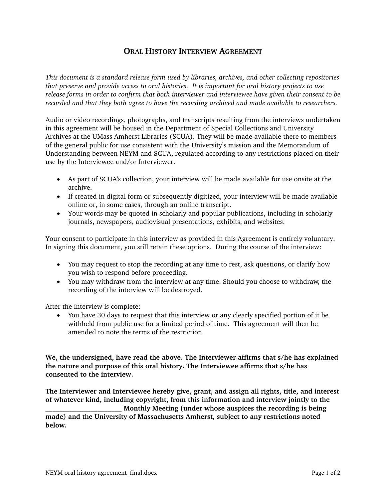## **ORAL HISTORY INTERVIEW AGREEMENT**

*This document is a standard release form used by libraries, archives, and other collecting repositories that preserve and provide access to oral histories. It is important for oral history projects to use release forms in order to confirm that both interviewer and interviewee have given their consent to be recorded and that they both agree to have the recording archived and made available to researchers.* 

Audio or video recordings, photographs, and transcripts resulting from the interviews undertaken in this agreement will be housed in the Department of Special Collections and University Archives at the UMass Amherst Libraries (SCUA). They will be made available there to members of the general public for use consistent with the University's mission and the Memorandum of Understanding between NEYM and SCUA, regulated according to any restrictions placed on their use by the Interviewee and/or Interviewer.

- As part of SCUA's collection, your interview will be made available for use onsite at the archive.
- If created in digital form or subsequently digitized, your interview will be made available online or, in some cases, through an online transcript.
- Your words may be quoted in scholarly and popular publications, including in scholarly journals, newspapers, audiovisual presentations, exhibits, and websites.

Your consent to participate in this interview as provided in this Agreement is entirely voluntary. In signing this document, you still retain these options. During the course of the interview:

- You may request to stop the recording at any time to rest, ask questions, or clarify how you wish to respond before proceeding.
- You may withdraw from the interview at any time. Should you choose to withdraw, the recording of the interview will be destroyed.

After the interview is complete:

• You have 30 days to request that this interview or any clearly specified portion of it be withheld from public use for a limited period of time. This agreement will then be amended to note the terms of the restriction.

**We, the undersigned, have read the above. The Interviewer affirms that s/he has explained the nature and purpose of this oral history. The Interviewee affirms that s/he has consented to the interview.** 

**The Interviewer and Interviewee hereby give, grant, and assign all rights, title, and interest of whatever kind, including copyright, from this information and interview jointly to the \_\_\_\_\_\_\_\_\_\_\_\_\_\_\_\_\_\_\_\_\_\_ Monthly Meeting (under whose auspices the recording is being made) and the University of Massachusetts Amherst, subject to any restrictions noted below.**